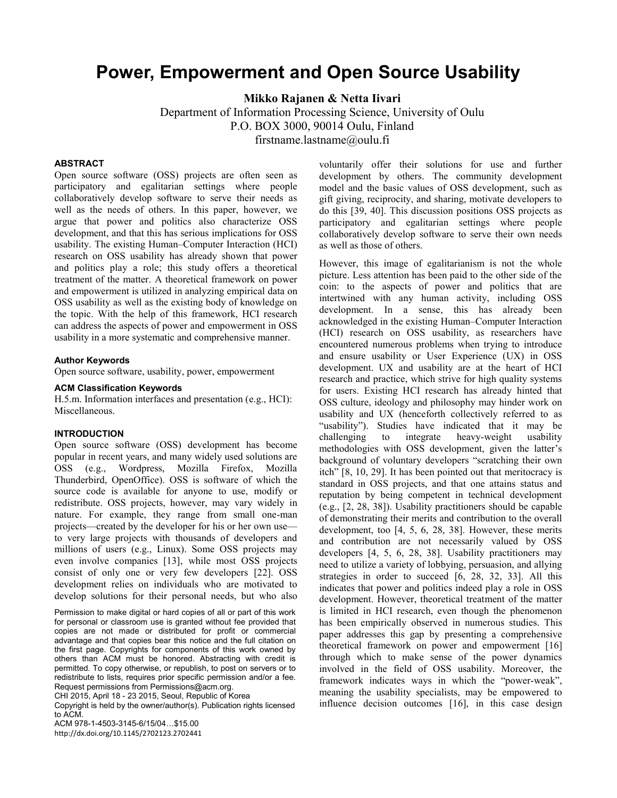# **Power, Empowerment and Open Source Usability**

**Mikko Rajanen & Netta Iivari**

Department of Information Processing Science, University of Oulu P.O. BOX 3000, 90014 Oulu, Finland firstname.lastname@oulu.fi

## **ABSTRACT**

Open source software (OSS) projects are often seen as participatory and egalitarian settings where people collaboratively develop software to serve their needs as well as the needs of others. In this paper, however, we argue that power and politics also characterize OSS development, and that this has serious implications for OSS usability. The existing Human–Computer Interaction (HCI) research on OSS usability has already shown that power and politics play a role; this study offers a theoretical treatment of the matter. A theoretical framework on power and empowerment is utilized in analyzing empirical data on OSS usability as well as the existing body of knowledge on the topic. With the help of this framework, HCI research can address the aspects of power and empowerment in OSS usability in a more systematic and comprehensive manner.

#### **Author Keywords**

Open source software, usability, power, empowerment

#### **ACM Classification Keywords**

H.5.m. Information interfaces and presentation (e.g., HCI): Miscellaneous.

#### **INTRODUCTION**

Open source software (OSS) development has become popular in recent years, and many widely used solutions are OSS (e.g., Wordpress, Mozilla Firefox, Mozilla Thunderbird, OpenOffice). OSS is software of which the source code is available for anyone to use, modify or redistribute. OSS projects, however, may vary widely in nature. For example, they range from small one-man projects—created by the developer for his or her own use to very large projects with thousands of developers and millions of users (e.g., Linux). Some OSS projects may even involve companies [13], while most OSS projects consist of only one or very few developers [22]. OSS development relies on individuals who are motivated to develop solutions for their personal needs, but who also

Permission to make digital or hard copies of all or part of this work for personal or classroom use is granted without fee provided that copies are not made or distributed for profit or commercial advantage and that copies bear this notice and the full citation on the first page. Copyrights for components of this work owned by others than ACM must be honored. Abstracting with credit is permitted. To copy otherwise, or republish, to post on servers or to redistribute to lists, requires prior specific permission and/or a fee. Request permissions from Permissions@acm.org.

CHI 2015, April 18 - 23 2015, Seoul, Republic of Korea

Copyright is held by the owner/author(s). Publication rights licensed to ACM.

ACM 978-1-4503-3145-6/15/04…\$15.00 http://dx.doi.org/10.1145/2702123.2702441 voluntarily offer their solutions for use and further development by others. The community development model and the basic values of OSS development, such as gift giving, reciprocity, and sharing, motivate developers to do this [39, 40]. This discussion positions OSS projects as participatory and egalitarian settings where people collaboratively develop software to serve their own needs as well as those of others.

However, this image of egalitarianism is not the whole picture. Less attention has been paid to the other side of the coin: to the aspects of power and politics that are intertwined with any human activity, including OSS development. In a sense, this has already been acknowledged in the existing Human–Computer Interaction (HCI) research on OSS usability, as researchers have encountered numerous problems when trying to introduce and ensure usability or User Experience (UX) in OSS development. UX and usability are at the heart of HCI research and practice, which strive for high quality systems for users. Existing HCI research has already hinted that OSS culture, ideology and philosophy may hinder work on usability and UX (henceforth collectively referred to as "usability"). Studies have indicated that it may be challenging to integrate heavy-weight usability methodologies with OSS development, given the latter's background of voluntary developers "scratching their own itch" [8, 10, 29]. It has been pointed out that meritocracy is standard in OSS projects, and that one attains status and reputation by being competent in technical development (e.g., [2, 28, 38]). Usability practitioners should be capable of demonstrating their merits and contribution to the overall development, too [4, 5, 6, 28, 38]. However, these merits and contribution are not necessarily valued by OSS developers [4, 5, 6, 28, 38]. Usability practitioners may need to utilize a variety of lobbying, persuasion, and allying strategies in order to succeed [6, 28, 32, 33]. All this indicates that power and politics indeed play a role in OSS development. However, theoretical treatment of the matter is limited in HCI research, even though the phenomenon has been empirically observed in numerous studies. This paper addresses this gap by presenting a comprehensive theoretical framework on power and empowerment [16] through which to make sense of the power dynamics involved in the field of OSS usability. Moreover, the framework indicates ways in which the "power-weak", meaning the usability specialists, may be empowered to influence decision outcomes [16], in this case design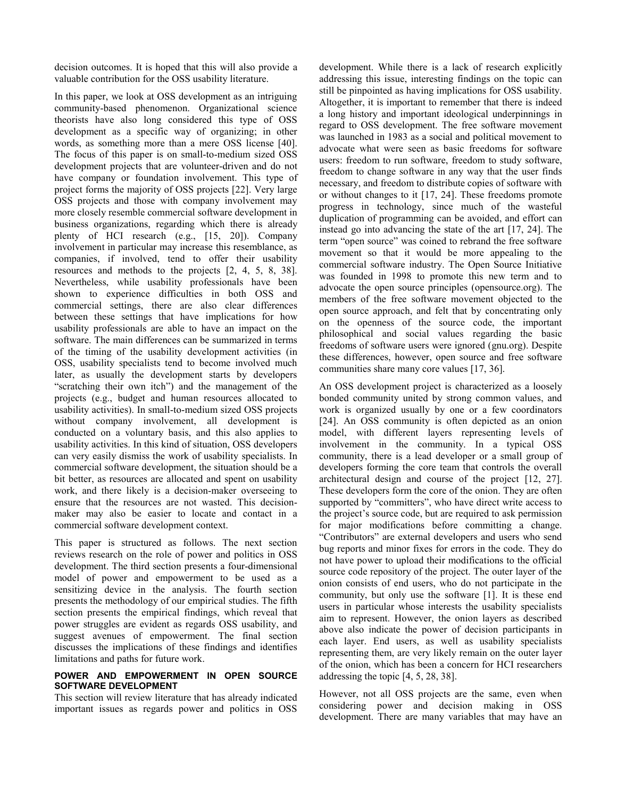decision outcomes. It is hoped that this will also provide a valuable contribution for the OSS usability literature.

In this paper, we look at OSS development as an intriguing community-based phenomenon. Organizational science theorists have also long considered this type of OSS development as a specific way of organizing; in other words, as something more than a mere OSS license [40]. The focus of this paper is on small-to-medium sized OSS development projects that are volunteer-driven and do not have company or foundation involvement. This type of project forms the majority of OSS projects [22]. Very large OSS projects and those with company involvement may more closely resemble commercial software development in business organizations, regarding which there is already plenty of HCI research (e.g., [15, 20]). Company involvement in particular may increase this resemblance, as companies, if involved, tend to offer their usability resources and methods to the projects [2, 4, 5, 8, 38]. Nevertheless, while usability professionals have been shown to experience difficulties in both OSS and commercial settings, there are also clear differences between these settings that have implications for how usability professionals are able to have an impact on the software. The main differences can be summarized in terms of the timing of the usability development activities (in OSS, usability specialists tend to become involved much later, as usually the development starts by developers "scratching their own itch") and the management of the projects (e.g., budget and human resources allocated to usability activities). In small-to-medium sized OSS projects without company involvement, all development is conducted on a voluntary basis, and this also applies to usability activities. In this kind of situation, OSS developers can very easily dismiss the work of usability specialists. In commercial software development, the situation should be a bit better, as resources are allocated and spent on usability work, and there likely is a decision-maker overseeing to ensure that the resources are not wasted. This decisionmaker may also be easier to locate and contact in a commercial software development context.

This paper is structured as follows. The next section reviews research on the role of power and politics in OSS development. The third section presents a four-dimensional model of power and empowerment to be used as a sensitizing device in the analysis. The fourth section presents the methodology of our empirical studies. The fifth section presents the empirical findings, which reveal that power struggles are evident as regards OSS usability, and suggest avenues of empowerment. The final section discusses the implications of these findings and identifies limitations and paths for future work.

#### **POWER AND EMPOWERMENT IN OPEN SOURCE SOFTWARE DEVELOPMENT**

This section will review literature that has already indicated important issues as regards power and politics in OSS

development. While there is a lack of research explicitly addressing this issue, interesting findings on the topic can still be pinpointed as having implications for OSS usability. Altogether, it is important to remember that there is indeed a long history and important ideological underpinnings in regard to OSS development. The free software movement was launched in 1983 as a social and political movement to advocate what were seen as basic freedoms for software users: freedom to run software, freedom to study software, freedom to change software in any way that the user finds necessary, and freedom to distribute copies of software with or without changes to it [17, 24]. These freedoms promote progress in technology, since much of the wasteful duplication of programming can be avoided, and effort can instead go into advancing the state of the art [17, 24]. The term "open source" was coined to rebrand the free software movement so that it would be more appealing to the commercial software industry. The Open Source Initiative was founded in 1998 to promote this new term and to advocate the open source principles (opensource.org). The members of the free software movement objected to the open source approach, and felt that by concentrating only on the openness of the source code, the important philosophical and social values regarding the basic freedoms of software users were ignored (gnu.org). Despite these differences, however, open source and free software communities share many core values [17, 36].

An OSS development project is characterized as a loosely bonded community united by strong common values, and work is organized usually by one or a few coordinators [24]. An OSS community is often depicted as an onion model, with different layers representing levels of involvement in the community. In a typical OSS community, there is a lead developer or a small group of developers forming the core team that controls the overall architectural design and course of the project [12, 27]. These developers form the core of the onion. They are often supported by "committers", who have direct write access to the project's source code, but are required to ask permission for major modifications before committing a change. "Contributors" are external developers and users who send bug reports and minor fixes for errors in the code. They do not have power to upload their modifications to the official source code repository of the project. The outer layer of the onion consists of end users, who do not participate in the community, but only use the software [1]. It is these end users in particular whose interests the usability specialists aim to represent. However, the onion layers as described above also indicate the power of decision participants in each layer. End users, as well as usability specialists representing them, are very likely remain on the outer layer of the onion, which has been a concern for HCI researchers addressing the topic [4, 5, 28, 38].

However, not all OSS projects are the same, even when considering power and decision making in OSS development. There are many variables that may have an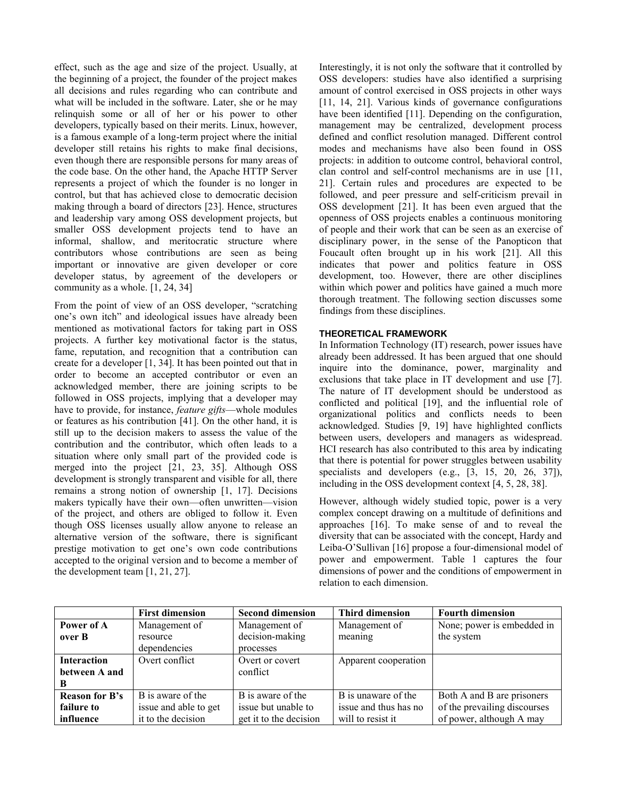effect, such as the age and size of the project. Usually, at the beginning of a project, the founder of the project makes all decisions and rules regarding who can contribute and what will be included in the software. Later, she or he may relinquish some or all of her or his power to other developers, typically based on their merits. Linux, however, is a famous example of a long-term project where the initial developer still retains his rights to make final decisions, even though there are responsible persons for many areas of the code base. On the other hand, the Apache HTTP Server represents a project of which the founder is no longer in control, but that has achieved close to democratic decision making through a board of directors [23]. Hence, structures and leadership vary among OSS development projects, but smaller OSS development projects tend to have an informal, shallow, and meritocratic structure where contributors whose contributions are seen as being important or innovative are given developer or core developer status, by agreement of the developers or community as a whole. [1, 24, 34]

From the point of view of an OSS developer, "scratching one's own itch" and ideological issues have already been mentioned as motivational factors for taking part in OSS projects. A further key motivational factor is the status, fame, reputation, and recognition that a contribution can create for a developer [1, 34]. It has been pointed out that in order to become an accepted contributor or even an acknowledged member, there are joining scripts to be followed in OSS projects, implying that a developer may have to provide, for instance, *feature gifts*—whole modules or features as his contribution [41]. On the other hand, it is still up to the decision makers to assess the value of the contribution and the contributor, which often leads to a situation where only small part of the provided code is merged into the project [21, 23, 35]. Although OSS development is strongly transparent and visible for all, there remains a strong notion of ownership [1, 17]. Decisions makers typically have their own—often unwritten—vision of the project, and others are obliged to follow it. Even though OSS licenses usually allow anyone to release an alternative version of the software, there is significant prestige motivation to get one's own code contributions accepted to the original version and to become a member of the development team [1, 21, 27].

Interestingly, it is not only the software that it controlled by OSS developers: studies have also identified a surprising amount of control exercised in OSS projects in other ways [11, 14, 21]. Various kinds of governance configurations have been identified [11]. Depending on the configuration, management may be centralized, development process defined and conflict resolution managed. Different control modes and mechanisms have also been found in OSS projects: in addition to outcome control, behavioral control, clan control and self-control mechanisms are in use [11, 21]. Certain rules and procedures are expected to be followed, and peer pressure and self-criticism prevail in OSS development [21]. It has been even argued that the openness of OSS projects enables a continuous monitoring of people and their work that can be seen as an exercise of disciplinary power, in the sense of the Panopticon that Foucault often brought up in his work [21]. All this indicates that power and politics feature in OSS development, too. However, there are other disciplines within which power and politics have gained a much more thorough treatment. The following section discusses some findings from these disciplines.

# **THEORETICAL FRAMEWORK**

In Information Technology (IT) research, power issues have already been addressed. It has been argued that one should inquire into the dominance, power, marginality and exclusions that take place in IT development and use [7]. The nature of IT development should be understood as conflicted and political [19], and the influential role of organizational politics and conflicts needs to been acknowledged. Studies [9, 19] have highlighted conflicts between users, developers and managers as widespread. HCI research has also contributed to this area by indicating that there is potential for power struggles between usability specialists and developers (e.g., [3, 15, 20, 26, 37]), including in the OSS development context [4, 5, 28, 38].

However, although widely studied topic, power is a very complex concept drawing on a multitude of definitions and approaches [16]. To make sense of and to reveal the diversity that can be associated with the concept, Hardy and Leiba-O'Sullivan [16] propose a four-dimensional model of power and empowerment. Table 1 captures the four dimensions of power and the conditions of empowerment in relation to each dimension.

|                       | <b>First dimension</b> | <b>Second dimension</b> | Third dimension       | <b>Fourth dimension</b>      |
|-----------------------|------------------------|-------------------------|-----------------------|------------------------------|
| Power of A            | Management of          | Management of           | Management of         | None; power is embedded in   |
| over B                | resource               | decision-making         | meaning               | the system                   |
|                       | dependencies           | processes               |                       |                              |
| <b>Interaction</b>    | Overt conflict         | Overt or covert         | Apparent cooperation  |                              |
| between A and         |                        | conflict                |                       |                              |
| B                     |                        |                         |                       |                              |
| <b>Reason for B's</b> | B is aware of the      | B is aware of the       | B is unaware of the   | Both A and B are prisoners   |
| failure to            | issue and able to get  | issue but unable to     | issue and thus has no | of the prevailing discourses |
| influence             | it to the decision     | get it to the decision  | will to resist it     | of power, although A may     |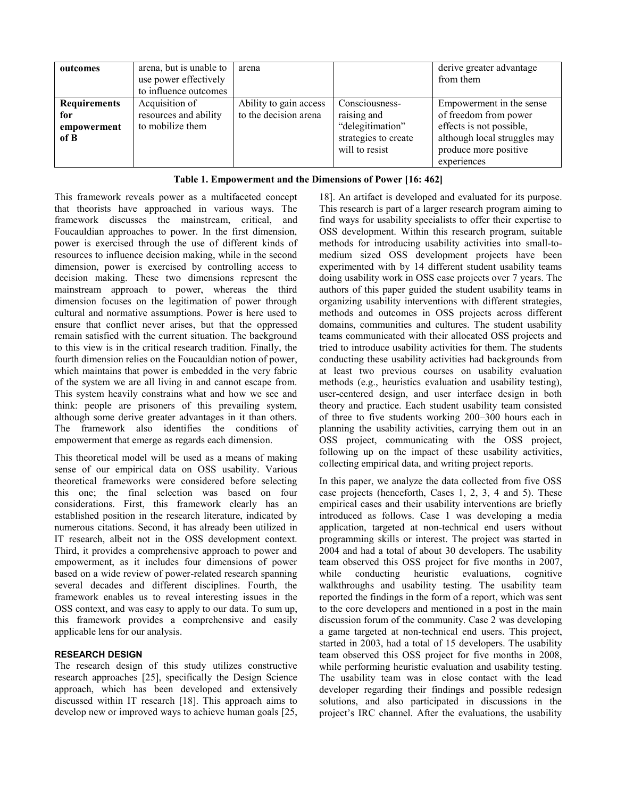| outcomes                                          | arena, but is unable to<br>use power effectively<br>to influence outcomes | arena                                           |                                                                                             | derive greater advantage<br>from them                                                                                                                 |
|---------------------------------------------------|---------------------------------------------------------------------------|-------------------------------------------------|---------------------------------------------------------------------------------------------|-------------------------------------------------------------------------------------------------------------------------------------------------------|
| <b>Requirements</b><br>for<br>empowerment<br>of B | Acquisition of<br>resources and ability<br>to mobilize them               | Ability to gain access<br>to the decision arena | Consciousness-<br>raising and<br>"delegitimation"<br>strategies to create<br>will to resist | Empowerment in the sense<br>of freedom from power<br>effects is not possible,<br>although local struggles may<br>produce more positive<br>experiences |

# **Table 1. Empowerment and the Dimensions of Power [16: 462]**

This framework reveals power as a multifaceted concept that theorists have approached in various ways. The framework discusses the mainstream, critical, and Foucauldian approaches to power. In the first dimension, power is exercised through the use of different kinds of resources to influence decision making, while in the second dimension, power is exercised by controlling access to decision making. These two dimensions represent the mainstream approach to power, whereas the third dimension focuses on the legitimation of power through cultural and normative assumptions. Power is here used to ensure that conflict never arises, but that the oppressed remain satisfied with the current situation. The background to this view is in the critical research tradition. Finally, the fourth dimension relies on the Foucauldian notion of power, which maintains that power is embedded in the very fabric of the system we are all living in and cannot escape from. This system heavily constrains what and how we see and think: people are prisoners of this prevailing system, although some derive greater advantages in it than others. The framework also identifies the conditions of empowerment that emerge as regards each dimension.

This theoretical model will be used as a means of making sense of our empirical data on OSS usability. Various theoretical frameworks were considered before selecting this one; the final selection was based on four considerations. First, this framework clearly has an established position in the research literature, indicated by numerous citations. Second, it has already been utilized in IT research, albeit not in the OSS development context. Third, it provides a comprehensive approach to power and empowerment, as it includes four dimensions of power based on a wide review of power-related research spanning several decades and different disciplines. Fourth, the framework enables us to reveal interesting issues in the OSS context, and was easy to apply to our data. To sum up, this framework provides a comprehensive and easily applicable lens for our analysis.

# **RESEARCH DESIGN**

The research design of this study utilizes constructive research approaches [25], specifically the Design Science approach, which has been developed and extensively discussed within IT research [18]. This approach aims to develop new or improved ways to achieve human goals [25,

18]. An artifact is developed and evaluated for its purpose. This research is part of a larger research program aiming to find ways for usability specialists to offer their expertise to OSS development. Within this research program, suitable methods for introducing usability activities into small-tomedium sized OSS development projects have been experimented with by 14 different student usability teams doing usability work in OSS case projects over 7 years. The authors of this paper guided the student usability teams in organizing usability interventions with different strategies, methods and outcomes in OSS projects across different domains, communities and cultures. The student usability teams communicated with their allocated OSS projects and tried to introduce usability activities for them. The students conducting these usability activities had backgrounds from at least two previous courses on usability evaluation methods (e.g., heuristics evaluation and usability testing), user-centered design, and user interface design in both theory and practice. Each student usability team consisted of three to five students working 200–300 hours each in planning the usability activities, carrying them out in an OSS project, communicating with the OSS project, following up on the impact of these usability activities, collecting empirical data, and writing project reports.

In this paper, we analyze the data collected from five OSS case projects (henceforth, Cases 1, 2, 3, 4 and 5). These empirical cases and their usability interventions are briefly introduced as follows. Case 1 was developing a media application, targeted at non-technical end users without programming skills or interest. The project was started in 2004 and had a total of about 30 developers. The usability team observed this OSS project for five months in 2007, while conducting heuristic evaluations, cognitive walkthroughs and usability testing. The usability team reported the findings in the form of a report, which was sent to the core developers and mentioned in a post in the main discussion forum of the community. Case 2 was developing a game targeted at non-technical end users. This project, started in 2003, had a total of 15 developers. The usability team observed this OSS project for five months in 2008, while performing heuristic evaluation and usability testing. The usability team was in close contact with the lead developer regarding their findings and possible redesign solutions, and also participated in discussions in the project's IRC channel. After the evaluations, the usability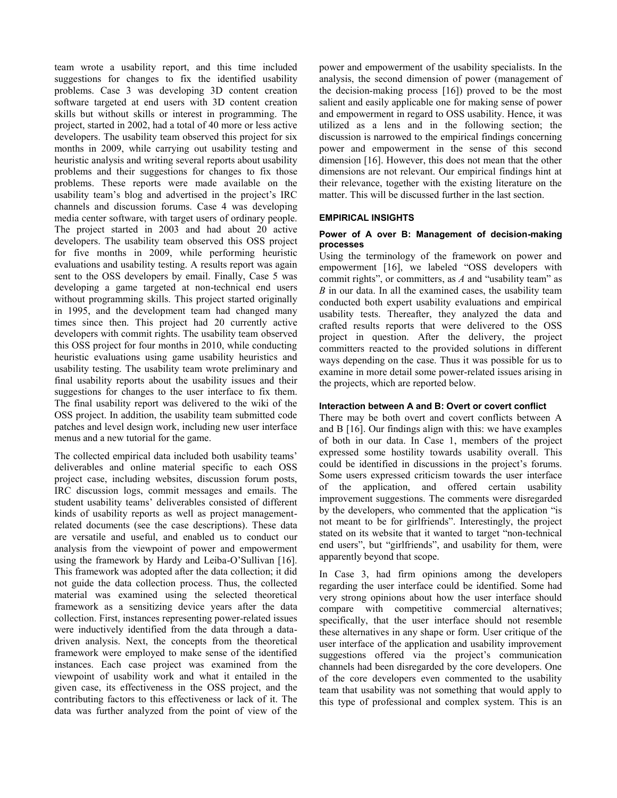team wrote a usability report, and this time included suggestions for changes to fix the identified usability problems. Case 3 was developing 3D content creation software targeted at end users with 3D content creation skills but without skills or interest in programming. The project, started in 2002, had a total of 40 more or less active developers. The usability team observed this project for six months in 2009, while carrying out usability testing and heuristic analysis and writing several reports about usability problems and their suggestions for changes to fix those problems. These reports were made available on the usability team's blog and advertised in the project's IRC channels and discussion forums. Case 4 was developing media center software, with target users of ordinary people. The project started in 2003 and had about 20 active developers. The usability team observed this OSS project for five months in 2009, while performing heuristic evaluations and usability testing. A results report was again sent to the OSS developers by email. Finally, Case 5 was developing a game targeted at non-technical end users without programming skills. This project started originally in 1995, and the development team had changed many times since then. This project had 20 currently active developers with commit rights. The usability team observed this OSS project for four months in 2010, while conducting heuristic evaluations using game usability heuristics and usability testing. The usability team wrote preliminary and final usability reports about the usability issues and their suggestions for changes to the user interface to fix them. The final usability report was delivered to the wiki of the OSS project. In addition, the usability team submitted code patches and level design work, including new user interface menus and a new tutorial for the game.

The collected empirical data included both usability teams' deliverables and online material specific to each OSS project case, including websites, discussion forum posts, IRC discussion logs, commit messages and emails. The student usability teams' deliverables consisted of different kinds of usability reports as well as project managementrelated documents (see the case descriptions). These data are versatile and useful, and enabled us to conduct our analysis from the viewpoint of power and empowerment using the framework by Hardy and Leiba-O'Sullivan [16]. This framework was adopted after the data collection; it did not guide the data collection process. Thus, the collected material was examined using the selected theoretical framework as a sensitizing device years after the data collection. First, instances representing power-related issues were inductively identified from the data through a datadriven analysis. Next, the concepts from the theoretical framework were employed to make sense of the identified instances. Each case project was examined from the viewpoint of usability work and what it entailed in the given case, its effectiveness in the OSS project, and the contributing factors to this effectiveness or lack of it. The data was further analyzed from the point of view of the

power and empowerment of the usability specialists. In the analysis, the second dimension of power (management of the decision-making process [16]) proved to be the most salient and easily applicable one for making sense of power and empowerment in regard to OSS usability. Hence, it was utilized as a lens and in the following section; the discussion is narrowed to the empirical findings concerning power and empowerment in the sense of this second dimension [16]. However, this does not mean that the other dimensions are not relevant. Our empirical findings hint at their relevance, together with the existing literature on the matter. This will be discussed further in the last section.

## **EMPIRICAL INSIGHTS**

#### **Power of A over B: Management of decision-making processes**

Using the terminology of the framework on power and empowerment [16], we labeled "OSS developers with commit rights", or committers, as *A* and "usability team" as *B* in our data. In all the examined cases, the usability team conducted both expert usability evaluations and empirical usability tests. Thereafter, they analyzed the data and crafted results reports that were delivered to the OSS project in question. After the delivery, the project committers reacted to the provided solutions in different ways depending on the case. Thus it was possible for us to examine in more detail some power-related issues arising in the projects, which are reported below.

## **Interaction between A and B: Overt or covert conflict**

There may be both overt and covert conflicts between A and B [16]. Our findings align with this: we have examples of both in our data. In Case 1, members of the project expressed some hostility towards usability overall. This could be identified in discussions in the project's forums. Some users expressed criticism towards the user interface of the application, and offered certain usability improvement suggestions. The comments were disregarded by the developers, who commented that the application "is not meant to be for girlfriends". Interestingly, the project stated on its website that it wanted to target "non-technical end users", but "girlfriends", and usability for them, were apparently beyond that scope.

In Case 3, had firm opinions among the developers regarding the user interface could be identified. Some had very strong opinions about how the user interface should compare with competitive commercial alternatives; specifically, that the user interface should not resemble these alternatives in any shape or form. User critique of the user interface of the application and usability improvement suggestions offered via the project's communication channels had been disregarded by the core developers. One of the core developers even commented to the usability team that usability was not something that would apply to this type of professional and complex system. This is an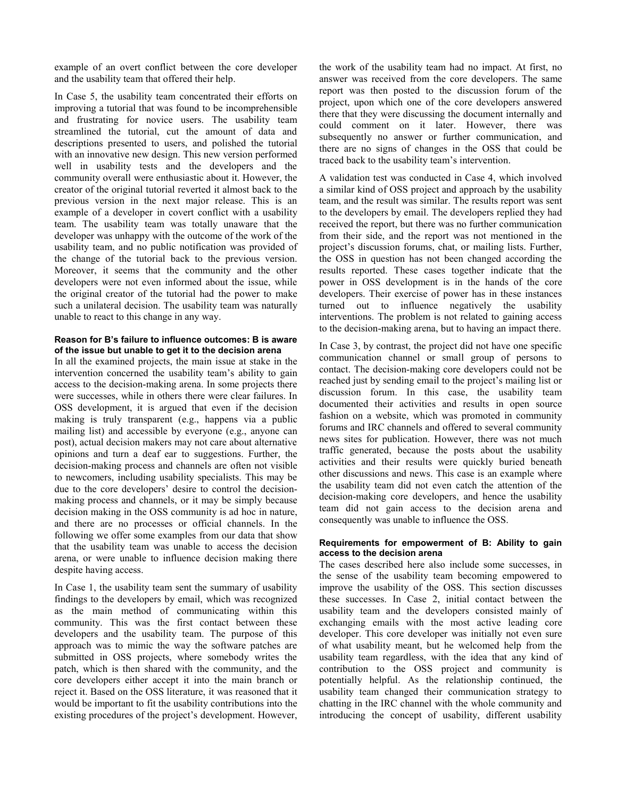example of an overt conflict between the core developer and the usability team that offered their help.

In Case 5, the usability team concentrated their efforts on improving a tutorial that was found to be incomprehensible and frustrating for novice users. The usability team streamlined the tutorial, cut the amount of data and descriptions presented to users, and polished the tutorial with an innovative new design. This new version performed well in usability tests and the developers and the community overall were enthusiastic about it. However, the creator of the original tutorial reverted it almost back to the previous version in the next major release. This is an example of a developer in covert conflict with a usability team. The usability team was totally unaware that the developer was unhappy with the outcome of the work of the usability team, and no public notification was provided of the change of the tutorial back to the previous version. Moreover, it seems that the community and the other developers were not even informed about the issue, while the original creator of the tutorial had the power to make such a unilateral decision. The usability team was naturally unable to react to this change in any way.

## **Reason for B's failure to influence outcomes: B is aware of the issue but unable to get it to the decision arena**

In all the examined projects, the main issue at stake in the intervention concerned the usability team's ability to gain access to the decision-making arena. In some projects there were successes, while in others there were clear failures. In OSS development, it is argued that even if the decision making is truly transparent (e.g., happens via a public mailing list) and accessible by everyone (e.g., anyone can post), actual decision makers may not care about alternative opinions and turn a deaf ear to suggestions. Further, the decision-making process and channels are often not visible to newcomers, including usability specialists. This may be due to the core developers' desire to control the decisionmaking process and channels, or it may be simply because decision making in the OSS community is ad hoc in nature, and there are no processes or official channels. In the following we offer some examples from our data that show that the usability team was unable to access the decision arena, or were unable to influence decision making there despite having access.

In Case 1, the usability team sent the summary of usability findings to the developers by email, which was recognized as the main method of communicating within this community. This was the first contact between these developers and the usability team. The purpose of this approach was to mimic the way the software patches are submitted in OSS projects, where somebody writes the patch, which is then shared with the community, and the core developers either accept it into the main branch or reject it. Based on the OSS literature, it was reasoned that it would be important to fit the usability contributions into the existing procedures of the project's development. However, the work of the usability team had no impact. At first, no answer was received from the core developers. The same report was then posted to the discussion forum of the project, upon which one of the core developers answered there that they were discussing the document internally and could comment on it later. However, there was subsequently no answer or further communication, and there are no signs of changes in the OSS that could be traced back to the usability team's intervention.

A validation test was conducted in Case 4, which involved a similar kind of OSS project and approach by the usability team, and the result was similar. The results report was sent to the developers by email. The developers replied they had received the report, but there was no further communication from their side, and the report was not mentioned in the project's discussion forums, chat, or mailing lists. Further, the OSS in question has not been changed according the results reported. These cases together indicate that the power in OSS development is in the hands of the core developers. Their exercise of power has in these instances turned out to influence negatively the usability interventions. The problem is not related to gaining access to the decision-making arena, but to having an impact there.

In Case 3, by contrast, the project did not have one specific communication channel or small group of persons to contact. The decision-making core developers could not be reached just by sending email to the project's mailing list or discussion forum. In this case, the usability team documented their activities and results in open source fashion on a website, which was promoted in community forums and IRC channels and offered to several community news sites for publication. However, there was not much traffic generated, because the posts about the usability activities and their results were quickly buried beneath other discussions and news. This case is an example where the usability team did not even catch the attention of the decision-making core developers, and hence the usability team did not gain access to the decision arena and consequently was unable to influence the OSS.

#### **Requirements for empowerment of B: Ability to gain access to the decision arena**

The cases described here also include some successes, in the sense of the usability team becoming empowered to improve the usability of the OSS. This section discusses these successes. In Case 2, initial contact between the usability team and the developers consisted mainly of exchanging emails with the most active leading core developer. This core developer was initially not even sure of what usability meant, but he welcomed help from the usability team regardless, with the idea that any kind of contribution to the OSS project and community is potentially helpful. As the relationship continued, the usability team changed their communication strategy to chatting in the IRC channel with the whole community and introducing the concept of usability, different usability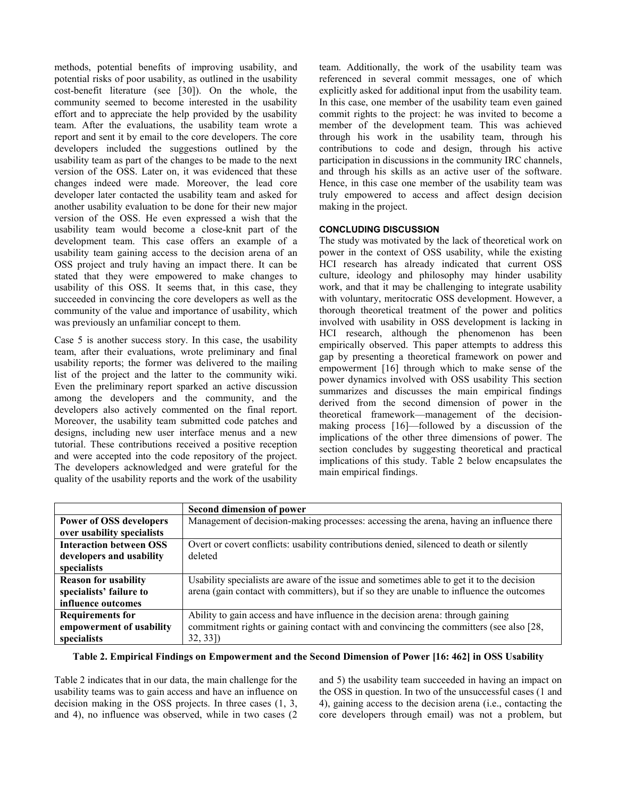methods, potential benefits of improving usability, and potential risks of poor usability, as outlined in the usability cost-benefit literature (see [30]). On the whole, the community seemed to become interested in the usability effort and to appreciate the help provided by the usability team. After the evaluations, the usability team wrote a report and sent it by email to the core developers. The core developers included the suggestions outlined by the usability team as part of the changes to be made to the next version of the OSS. Later on, it was evidenced that these changes indeed were made. Moreover, the lead core developer later contacted the usability team and asked for another usability evaluation to be done for their new major version of the OSS. He even expressed a wish that the usability team would become a close-knit part of the development team. This case offers an example of a usability team gaining access to the decision arena of an OSS project and truly having an impact there. It can be stated that they were empowered to make changes to usability of this OSS. It seems that, in this case, they succeeded in convincing the core developers as well as the community of the value and importance of usability, which was previously an unfamiliar concept to them.

Case 5 is another success story. In this case, the usability team, after their evaluations, wrote preliminary and final usability reports; the former was delivered to the mailing list of the project and the latter to the community wiki. Even the preliminary report sparked an active discussion among the developers and the community, and the developers also actively commented on the final report. Moreover, the usability team submitted code patches and designs, including new user interface menus and a new tutorial. These contributions received a positive reception and were accepted into the code repository of the project. The developers acknowledged and were grateful for the quality of the usability reports and the work of the usability team. Additionally, the work of the usability team was referenced in several commit messages, one of which explicitly asked for additional input from the usability team. In this case, one member of the usability team even gained commit rights to the project: he was invited to become a member of the development team. This was achieved through his work in the usability team, through his contributions to code and design, through his active participation in discussions in the community IRC channels, and through his skills as an active user of the software. Hence, in this case one member of the usability team was truly empowered to access and affect design decision making in the project.

# **CONCLUDING DISCUSSION**

The study was motivated by the lack of theoretical work on power in the context of OSS usability, while the existing HCI research has already indicated that current OSS culture, ideology and philosophy may hinder usability work, and that it may be challenging to integrate usability with voluntary, meritocratic OSS development. However, a thorough theoretical treatment of the power and politics involved with usability in OSS development is lacking in HCI research, although the phenomenon has been empirically observed. This paper attempts to address this gap by presenting a theoretical framework on power and empowerment [16] through which to make sense of the power dynamics involved with OSS usability This section summarizes and discusses the main empirical findings derived from the second dimension of power in the theoretical framework—management of the decisionmaking process [16]—followed by a discussion of the implications of the other three dimensions of power. The section concludes by suggesting theoretical and practical implications of this study. Table 2 below encapsulates the main empirical findings.

|                                | Second dimension of power                                                                 |
|--------------------------------|-------------------------------------------------------------------------------------------|
| <b>Power of OSS developers</b> | Management of decision-making processes: accessing the arena, having an influence there   |
| over usability specialists     |                                                                                           |
| <b>Interaction between OSS</b> | Overt or covert conflicts: usability contributions denied, silenced to death or silently  |
| developers and usability       | deleted                                                                                   |
| specialists                    |                                                                                           |
| <b>Reason for usability</b>    | Usability specialists are aware of the issue and sometimes able to get it to the decision |
| specialists' failure to        | arena (gain contact with committers), but if so they are unable to influence the outcomes |
| influence outcomes             |                                                                                           |
| <b>Requirements for</b>        | Ability to gain access and have influence in the decision arena: through gaining          |
| empowerment of usability       | commitment rights or gaining contact with and convincing the committers (see also [28,    |
| specialists                    | $32, 33$ ])                                                                               |

**Table 2. Empirical Findings on Empowerment and the Second Dimension of Power [16: 462] in OSS Usability**

Table 2 indicates that in our data, the main challenge for the usability teams was to gain access and have an influence on decision making in the OSS projects. In three cases (1, 3, and 4), no influence was observed, while in two cases (2 and 5) the usability team succeeded in having an impact on the OSS in question. In two of the unsuccessful cases (1 and 4), gaining access to the decision arena (i.e., contacting the core developers through email) was not a problem, but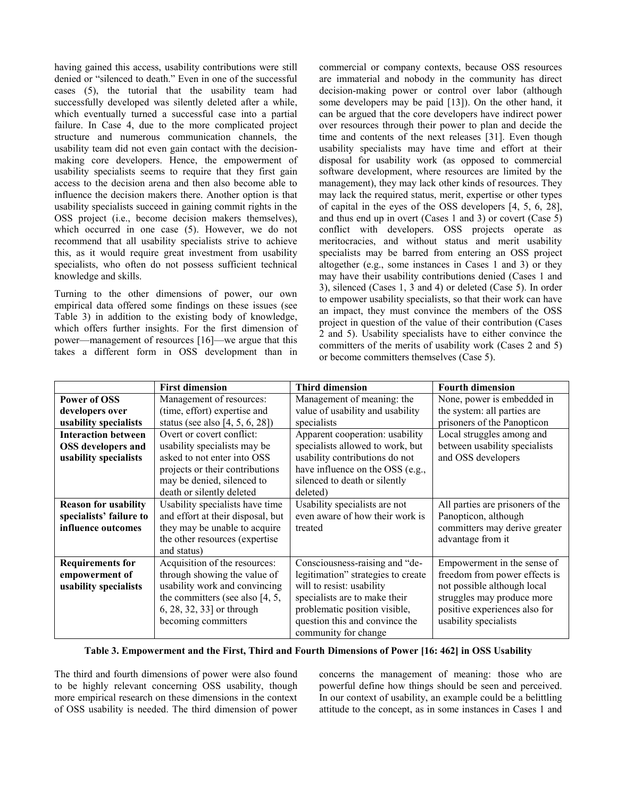having gained this access, usability contributions were still denied or "silenced to death." Even in one of the successful cases (5), the tutorial that the usability team had successfully developed was silently deleted after a while, which eventually turned a successful case into a partial failure. In Case 4, due to the more complicated project structure and numerous communication channels, the usability team did not even gain contact with the decisionmaking core developers. Hence, the empowerment of usability specialists seems to require that they first gain access to the decision arena and then also become able to influence the decision makers there. Another option is that usability specialists succeed in gaining commit rights in the OSS project (i.e., become decision makers themselves), which occurred in one case (5). However, we do not recommend that all usability specialists strive to achieve this, as it would require great investment from usability specialists, who often do not possess sufficient technical knowledge and skills.

Turning to the other dimensions of power, our own empirical data offered some findings on these issues (see Table 3) in addition to the existing body of knowledge, which offers further insights. For the first dimension of power—management of resources [16]—we argue that this takes a different form in OSS development than in

commercial or company contexts, because OSS resources are immaterial and nobody in the community has direct decision-making power or control over labor (although some developers may be paid [13]). On the other hand, it can be argued that the core developers have indirect power over resources through their power to plan and decide the time and contents of the next releases [31]. Even though usability specialists may have time and effort at their disposal for usability work (as opposed to commercial software development, where resources are limited by the management), they may lack other kinds of resources. They may lack the required status, merit, expertise or other types of capital in the eyes of the OSS developers [4, 5, 6, 28], and thus end up in overt (Cases 1 and 3) or covert (Case 5) conflict with developers. OSS projects operate as meritocracies, and without status and merit usability specialists may be barred from entering an OSS project altogether (e.g., some instances in Cases 1 and 3) or they may have their usability contributions denied (Cases 1 and 3), silenced (Cases 1, 3 and 4) or deleted (Case 5). In order to empower usability specialists, so that their work can have an impact, they must convince the members of the OSS project in question of the value of their contribution (Cases 2 and 5). Usability specialists have to either convince the committers of the merits of usability work (Cases 2 and 5) or become committers themselves (Case 5).

|                                                           | <b>First dimension</b>               | <b>Third dimension</b>             | <b>Fourth dimension</b>          |
|-----------------------------------------------------------|--------------------------------------|------------------------------------|----------------------------------|
| <b>Power of OSS</b>                                       | Management of resources:             | Management of meaning: the         | None, power is embedded in       |
| (time, effort) expertise and<br>developers over           |                                      | value of usability and usability   | the system: all parties are      |
| usability specialists                                     | status (see also $[4, 5, 6, 28]$ )   | specialists                        | prisoners of the Panopticon      |
| <b>Interaction between</b><br>Overt or covert conflict:   |                                      | Apparent cooperation: usability    | Local struggles among and        |
| usability specialists may be<br><b>OSS</b> developers and |                                      | specialists allowed to work, but   | between usability specialists    |
| usability specialists                                     | asked to not enter into OSS          | usability contributions do not     | and OSS developers               |
|                                                           | projects or their contributions      | have influence on the OSS (e.g.,   |                                  |
|                                                           | may be denied, silenced to           | silenced to death or silently      |                                  |
|                                                           | death or silently deleted            | deleted)                           |                                  |
| <b>Reason for usability</b>                               | Usability specialists have time      | Usability specialists are not      | All parties are prisoners of the |
| specialists' failure to                                   | and effort at their disposal, but    | even aware of how their work is    | Panopticon, although             |
| influence outcomes                                        | they may be unable to acquire        | treated                            | committers may derive greater    |
|                                                           | the other resources (expertise)      |                                    | advantage from it                |
|                                                           | and status)                          |                                    |                                  |
| <b>Requirements for</b>                                   | Acquisition of the resources:        | Consciousness-raising and "de-     | Empowerment in the sense of      |
| through showing the value of<br>empowerment of            |                                      | legitimation" strategies to create | freedom from power effects is    |
| usability specialists                                     | usability work and convincing        | will to resist: usability          | not possible although local      |
|                                                           | the committers (see also $[4, 5, 1]$ | specialists are to make their      | struggles may produce more       |
|                                                           | 6, 28, 32, 33] or through            | problematic position visible,      | positive experiences also for    |
|                                                           | becoming committers                  | question this and convince the     | usability specialists            |
|                                                           |                                      | community for change               |                                  |

## **Table 3. Empowerment and the First, Third and Fourth Dimensions of Power [16: 462] in OSS Usability**

The third and fourth dimensions of power were also found to be highly relevant concerning OSS usability, though more empirical research on these dimensions in the context of OSS usability is needed. The third dimension of power concerns the management of meaning: those who are powerful define how things should be seen and perceived. In our context of usability, an example could be a belittling attitude to the concept, as in some instances in Cases 1 and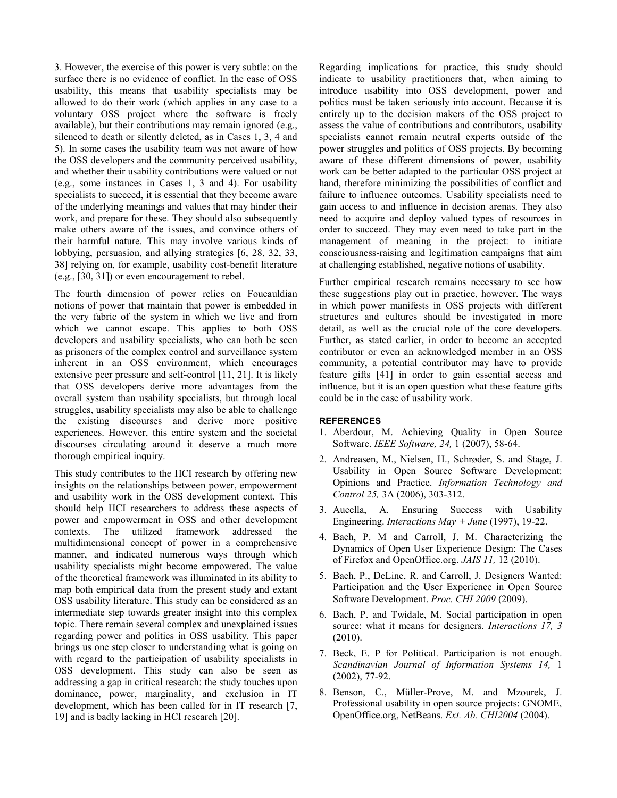3. However, the exercise of this power is very subtle: on the surface there is no evidence of conflict. In the case of OSS usability, this means that usability specialists may be allowed to do their work (which applies in any case to a voluntary OSS project where the software is freely available), but their contributions may remain ignored (e.g., silenced to death or silently deleted, as in Cases 1, 3, 4 and 5). In some cases the usability team was not aware of how the OSS developers and the community perceived usability, and whether their usability contributions were valued or not (e.g., some instances in Cases 1, 3 and 4). For usability specialists to succeed, it is essential that they become aware of the underlying meanings and values that may hinder their work, and prepare for these. They should also subsequently make others aware of the issues, and convince others of their harmful nature. This may involve various kinds of lobbying, persuasion, and allying strategies [6, 28, 32, 33, 38] relying on, for example, usability cost-benefit literature (e.g., [30, 31]) or even encouragement to rebel.

The fourth dimension of power relies on Foucauldian notions of power that maintain that power is embedded in the very fabric of the system in which we live and from which we cannot escape. This applies to both OSS developers and usability specialists, who can both be seen as prisoners of the complex control and surveillance system inherent in an OSS environment, which encourages extensive peer pressure and self-control [11, 21]. It is likely that OSS developers derive more advantages from the overall system than usability specialists, but through local struggles, usability specialists may also be able to challenge the existing discourses and derive more positive experiences. However, this entire system and the societal discourses circulating around it deserve a much more thorough empirical inquiry.

This study contributes to the HCI research by offering new insights on the relationships between power, empowerment and usability work in the OSS development context. This should help HCI researchers to address these aspects of power and empowerment in OSS and other development contexts. The utilized framework addressed the multidimensional concept of power in a comprehensive manner, and indicated numerous ways through which usability specialists might become empowered. The value of the theoretical framework was illuminated in its ability to map both empirical data from the present study and extant OSS usability literature. This study can be considered as an intermediate step towards greater insight into this complex topic. There remain several complex and unexplained issues regarding power and politics in OSS usability. This paper brings us one step closer to understanding what is going on with regard to the participation of usability specialists in OSS development. This study can also be seen as addressing a gap in critical research: the study touches upon dominance, power, marginality, and exclusion in IT development, which has been called for in IT research [7, 19] and is badly lacking in HCI research [20].

Regarding implications for practice, this study should indicate to usability practitioners that, when aiming to introduce usability into OSS development, power and politics must be taken seriously into account. Because it is entirely up to the decision makers of the OSS project to assess the value of contributions and contributors, usability specialists cannot remain neutral experts outside of the power struggles and politics of OSS projects. By becoming aware of these different dimensions of power, usability work can be better adapted to the particular OSS project at hand, therefore minimizing the possibilities of conflict and failure to influence outcomes. Usability specialists need to gain access to and influence in decision arenas. They also need to acquire and deploy valued types of resources in order to succeed. They may even need to take part in the management of meaning in the project: to initiate consciousness-raising and legitimation campaigns that aim at challenging established, negative notions of usability.

Further empirical research remains necessary to see how these suggestions play out in practice, however. The ways in which power manifests in OSS projects with different structures and cultures should be investigated in more detail, as well as the crucial role of the core developers. Further, as stated earlier, in order to become an accepted contributor or even an acknowledged member in an OSS community, a potential contributor may have to provide feature gifts [41] in order to gain essential access and influence, but it is an open question what these feature gifts could be in the case of usability work.

## **REFERENCES**

- 1. Aberdour, M. Achieving Quality in Open Source Software. *IEEE Software, 24,* 1 (2007), 58-64.
- 2. Andreasen, M., Nielsen, H., Schrøder, S. and Stage, J. Usability in Open Source Software Development: Opinions and Practice. *Information Technology and Control 25,* 3A (2006), 303-312.
- 3. Aucella, A. Ensuring Success with Usability Engineering. *Interactions May + June* (1997), 19-22.
- 4. Bach, P. M and Carroll, J. M. Characterizing the Dynamics of Open User Experience Design: The Cases of Firefox and OpenOffice.org. *JAIS 11,* 12 (2010).
- 5. Bach, P., DeLine, R. and Carroll, J. Designers Wanted: Participation and the User Experience in Open Source Software Development. *Proc. CHI 2009* (2009).
- 6. Bach, P. and Twidale, M. Social participation in open source: what it means for designers. *Interactions 17, 3* (2010).
- 7. Beck, E. P for Political. Participation is not enough. *Scandinavian Journal of Information Systems 14,* 1 (2002), 77-92.
- 8. Benson, C., Müller-Prove, M. and Mzourek, J. Professional usability in open source projects: GNOME, OpenOffice.org, NetBeans. *Ext. Ab. CHI2004* (2004).